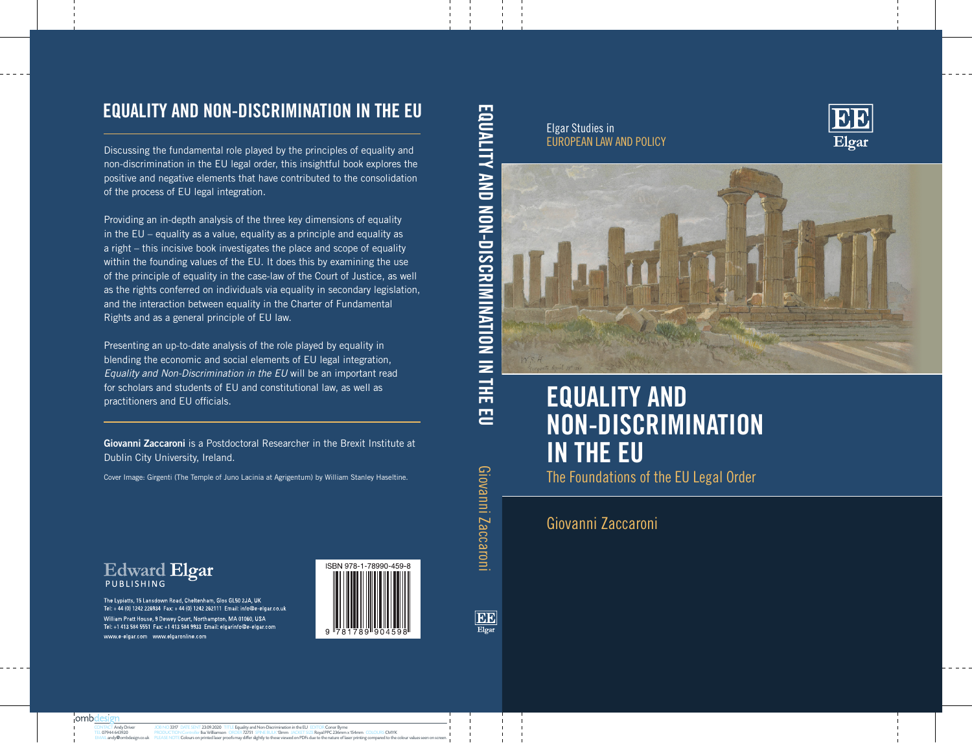#### Elgar Studies in EUROPEAN LAW AND POLICY





## **EQUALITY AND NON-DISCRIMINATION IN THE EU** The Foundations of the EU Legal Order

Giovanni Zaccaroni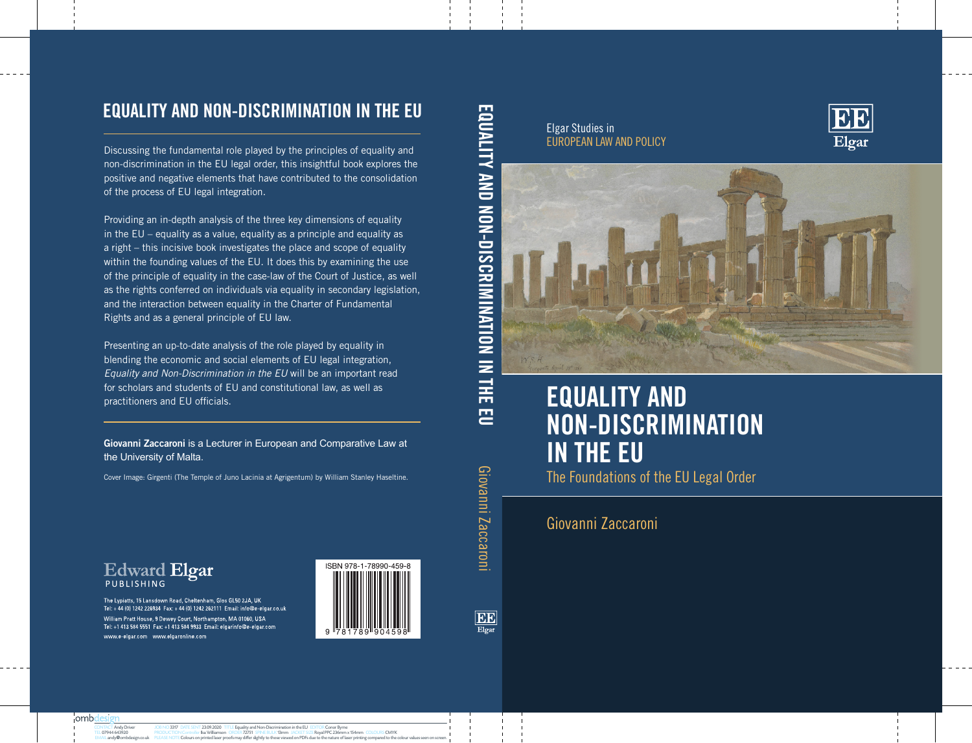## **EQUALITY AND NON-DISCRIMINATION IN THE EU**

Discussing the fundamental role played by the principles of equality and non-discrimination in the EU legal order, this insightful book explores the positive and negative elements that have contributed to the consolidation of the process of EU legal integration.

Providing an in-depth analysis of the three key dimensions of equality in the EU – equality as a value, equality as a principle and equality as a right – this incisive book investigates the place and scope of equality within the founding values of the EU. It does this by examining the use of the principle of equality in the case-law of the Court of Justice, as well as the rights conferred on individuals via equality in secondary legislation, and the interaction between equality in the Charter of Fundamental Rights and as a general principle of EU law.

Presenting an up-to-date analysis of the role played by equality in blending the economic and social elements of EU legal integration, *Equality and Non-Discrimination in the EU* will be an important read for scholars and students of EU and constitutional law, as well as practitioners and EU officials.

**Giovanni Zaccaroni** is a Lecturer in European and Comparative Law at the University of Malta.

Cover Image: Girgenti (The Temple of Juno Lacinia at Agrigentum) by William Stanley Haseltine.

The Lypiatts, 15 Lansdown Road, Cheltenham, Glos GL50 2JA, UK Tel: +44 (0) 1242 226934 Fax: +44 (0) 1242 262111 Email: info@e-elgar.co.uk William Pratt House, 9 Dewey Court, Northampton, MA 01060, USA Tel: +1 413 584 5551 Fax: +1 413 584 9933 Email: elgarinfo@e-elgar.com www.e-elgar.com www.elgaronline.com

**Edward Elgar** 



EE

 $Elgar$ 

巴

Giovanni Zaccaroni

Elgar Studies in EUROPEAN LAW AND POLICY





# **EQUALITY AND NON-DISCRIMINATION IN THE EU**

The Foundations of the EU Legal Order

### Giovanni Zaccaroni

¦ombd

CONTACT Andy Driver TEL 07944 643920 EMAIL andy**@**ombdesign.co.uk

JOB NO 3317 DATE SENT 23.09.2020 TITLE Equality and Non-Discrimination in the EU EDITOR Conor Byrne PRODUCTION Controller Ilsa Williamson ORDER 72751 SPINE BULK 13mm JACKET SIZE Royal PPC 236mm x 154mm COLOURS CMYK PLEASE NOTE COLOURS DE NOTE COLOURS MAY DIFFER SIZE NOTE: THE COLOURS SEEN IN THE COLOURS SEEN ON SCREEN SEEN ON SCREEN SEEN ON SCREEN SEEN ON SCREEN ON SCREEN ON SCREEN.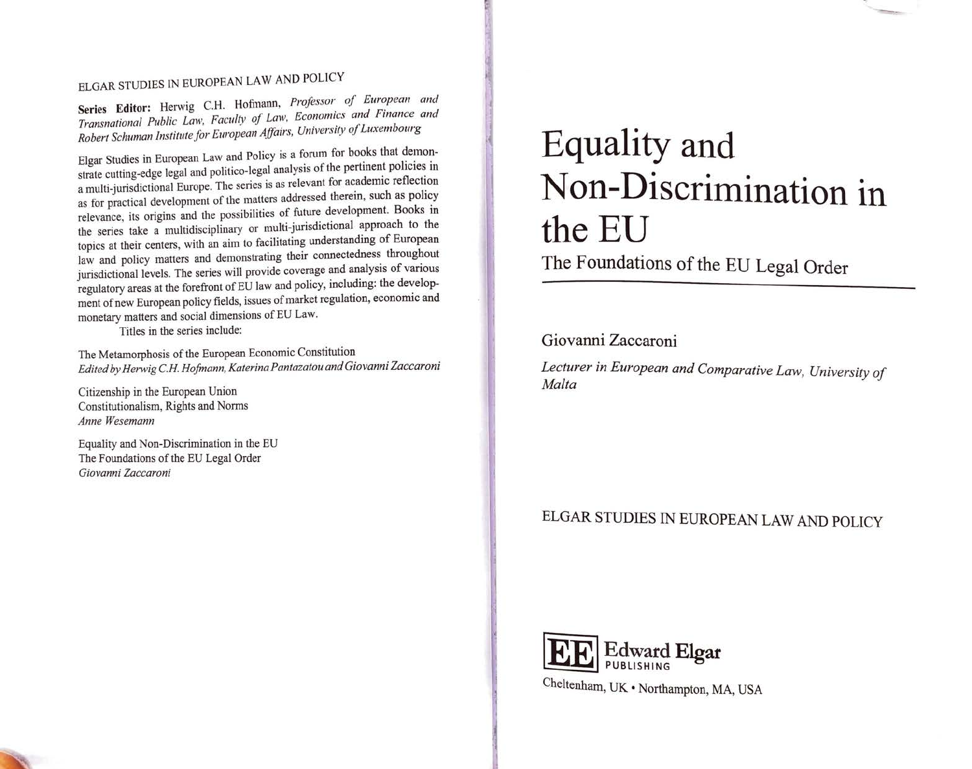### ELGAR STUDIES IN EUROPEAN LAW AND POLICY

Series Editor: Herwig C.H. Hofmann, Professor of European and Transnational Public Law, Faculty of Law, Economics and Finance and Robert Schuman Institute for European Affairs, University of Luxembourg

Elgar Studies in European Law and Policy is a forum for books that demonstrate cutting-edge legal and politico-legal analysis of the pertinent policies in a multi-jurisdictional Europe. The series is as relevant for academic reflection as for practical development of the matters addressed therein, such as policy relevance, its origins and the possibilities of future development. Books in the series take a multidisciplinary or multi-jurisdictional approach to the topics at their centers, with an aim to facilitating understanding of European law and policy matters and demonstrating their connectedness throughout jurisdictional levels. The series will provide coverage and analysis of various regulatory areas at the forefront of EU law and policy, including: the development of new European policy fields, issues of market regulation, economic and monetary matters and social dimensions of EU Law.

Titles in the series include:

The Metamorphosis of the European Economic Constitution Edited by Herwig C.H. Hofmann, Katerina Pantazatou and Giovanni Zaccaroni

Citizenship in the European Union Constitutionalism, Rights and Norms Anne Wesemann

Equality and Non-Discrimination in the EU The Foundations of the EU Legal Order Giovanni Zaccaroni

# Equality and Non-Discrimination in the EU

The Foundations of the EU Legal Order

#### Giovanni Zaccaroni

Lecturer in European and Comparative Law, University of Malta

#### ELGAR STUDIES IN EUROPEAN LAW AND POLICY

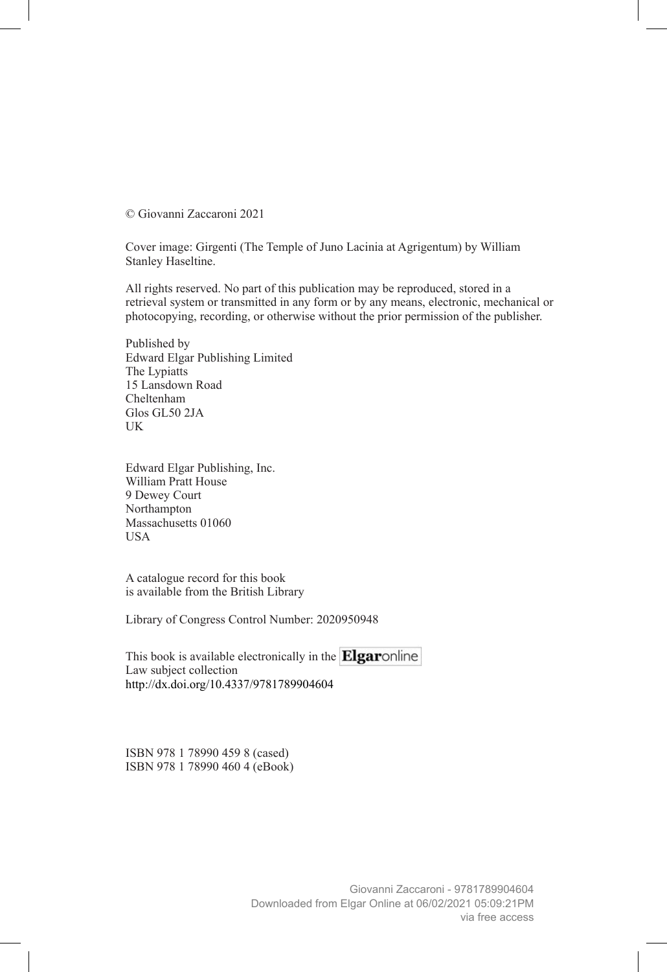© Giovanni Zaccaroni 2021

Cover image: Girgenti (The Temple of Juno Lacinia at Agrigentum) by William Stanley Haseltine.

All rights reserved. No part of this publication may be reproduced, stored in a retrieval system or transmitted in any form or by any means, electronic, mechanical or photocopying, recording, or otherwise without the prior permission of the publisher.

Published by Edward Elgar Publishing Limited The Lypiatts 15 Lansdown Road Cheltenham Glos GL50 2JA UK

Edward Elgar Publishing, Inc. William Pratt House 9 Dewey Court Northampton Massachusetts 01060 USA

A catalogue record for this book is available from the British Library

Library of Congress Control Number: 2020950948

This book is available electronically in the  $\mathbf{Elgaro}$  nline Law subject collection http://dx.doi.org/10.4337/9781789904604

ISBN 978 1 78990 459 8 (cased) ISBN 978 1 78990 460 4 (eBook)